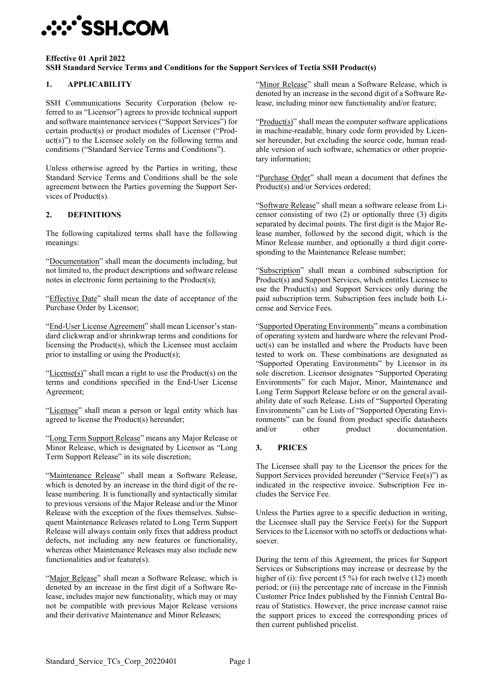

#### **Effective 01 April 2022 SSH Standard Service Terms and Conditions for the Support Services of Tectia SSH Product(s)**

### **1. APPLICABILITY**

SSH Communications Security Corporation (below referred to as "Licensor") agrees to provide technical support and software maintenance services ("Support Services") for certain product(s) or product modules of Licensor ("Prod $uct(s)$ ") to the Licensee solely on the following terms and conditions ("Standard Service Terms and Conditions").

Unless otherwise agreed by the Parties in writing, these Standard Service Terms and Conditions shall be the sole agreement between the Parties governing the Support Services of Product(s).

#### **2. DEFINITIONS**

The following capitalized terms shall have the following meanings:

"Documentation" shall mean the documents including, but not limited to, the product descriptions and software release notes in electronic form pertaining to the Product(s);

"Effective Date" shall mean the date of acceptance of the Purchase Order by Licensor;

"End-User License Agreement" shall mean Licensor's standard clickwrap and/or shrinkwrap terms and conditions for licensing the Product(s), which the Licensee must acclaim prior to installing or using the Product(s);

" $License(s)$ " shall mean a right to use the Product(s) on the terms and conditions specified in the End-User License Agreement;

"Licensee" shall mean a person or legal entity which has agreed to license the Product(s) hereunder;

"Long Term Support Release" means any Major Release or Minor Release, which is designated by Licensor as "Long Term Support Release" in its sole discretion;

"Maintenance Release" shall mean a Software Release, which is denoted by an increase in the third digit of the release numbering. It is functionally and syntactically similar to previous versions of the Major Release and/or the Minor Release with the exception of the fixes themselves. Subsequent Maintenance Releases related to Long Term Support Release will always contain only fixes that address product defects, not including any new features or functionality, whereas other Maintenance Releases may also include new functionalities and/or feature(s).

"Major Release" shall mean a Software Release, which is denoted by an increase in the first digit of a Software Release, includes major new functionality, which may or may not be compatible with previous Major Release versions and their derivative Maintenance and Minor Releases;

"Minor Release" shall mean a Software Release, which is denoted by an increase in the second digit of a Software Release, including minor new functionality and/or feature;

"Product(s)" shall mean the computer software applications in machine-readable, binary code form provided by Licensor hereunder, but excluding the source code, human readable version of such software, schematics or other proprietary information;

"Purchase Order" shall mean a document that defines the Product(s) and/or Services ordered;

"Software Release" shall mean a software release from Licensor consisting of two (2) or optionally three (3) digits separated by decimal points. The first digit is the Major Release number, followed by the second digit, which is the Minor Release number, and optionally a third digit corresponding to the Maintenance Release number;

"Subscription" shall mean a combined subscription for Product(s) and Support Services, which entitles Licensee to use the Product(s) and Support Services only during the paid subscription term. Subscription fees include both License and Service Fees.

"Supported Operating Environments" means a combination of operating system and hardware where the relevant Product(s) can be installed and where the Products have been tested to work on. These combinations are designated as "Supported Operating Environments" by Licensor in its sole discretion. Licensor designates "Supported Operating Environments" for each Major, Minor, Maintenance and Long Term Support Release before or on the general availability date of such Release. Lists of "Supported Operating Environments" can be Lists of "Supported Operating Environments" can be found from product specific datasheets and/or other product documentation.

#### **3. PRICES**

The Licensee shall pay to the Licensor the prices for the Support Services provided hereunder ("Service Fee(s)") as indicated in the respective invoice. Subscription Fee includes the Service Fee.

Unless the Parties agree to a specific deduction in writing, the Licensee shall pay the Service Fee(s) for the Support Services to the Licensor with no setoffs or deductions whatsoever.

During the term of this Agreement, the prices for Support Services or Subscriptions may increase or decrease by the higher of (i): five percent (5 %) for each twelve (12) month period; or (ii) the percentage rate of increase in the Finnish Customer Price Index published by the Finnish Central Bureau of Statistics. However, the price increase cannot raise the support prices to exceed the corresponding prices of then current published pricelist.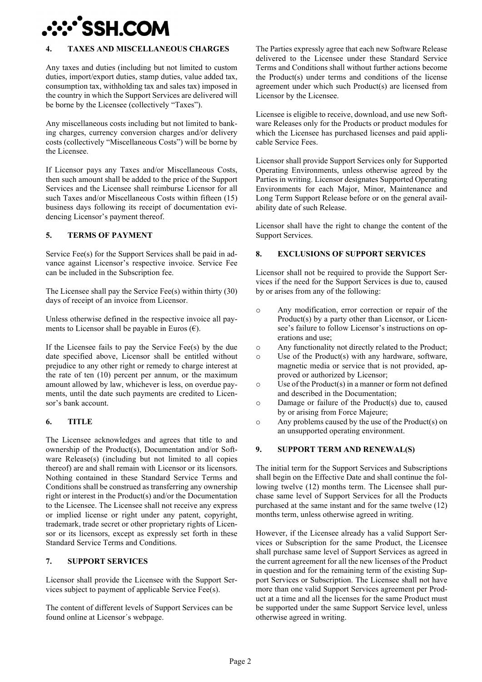

## **4. TAXES AND MISCELLANEOUS CHARGES**

Any taxes and duties (including but not limited to custom duties, import/export duties, stamp duties, value added tax, consumption tax, withholding tax and sales tax) imposed in the country in which the Support Services are delivered will be borne by the Licensee (collectively "Taxes").

Any miscellaneous costs including but not limited to banking charges, currency conversion charges and/or delivery costs (collectively "Miscellaneous Costs") will be borne by the Licensee.

If Licensor pays any Taxes and/or Miscellaneous Costs, then such amount shall be added to the price of the Support Services and the Licensee shall reimburse Licensor for all such Taxes and/or Miscellaneous Costs within fifteen (15) business days following its receipt of documentation evidencing Licensor's payment thereof.

## **5. TERMS OF PAYMENT**

Service Fee(s) for the Support Services shall be paid in advance against Licensor's respective invoice. Service Fee can be included in the Subscription fee.

The Licensee shall pay the Service Fee(s) within thirty (30) days of receipt of an invoice from Licensor.

Unless otherwise defined in the respective invoice all payments to Licensor shall be payable in Euros  $(\epsilon)$ .

If the Licensee fails to pay the Service Fee(s) by the due date specified above, Licensor shall be entitled without prejudice to any other right or remedy to charge interest at the rate of ten (10) percent per annum, or the maximum amount allowed by law, whichever is less, on overdue payments, until the date such payments are credited to Licensor's bank account.

#### **6. TITLE**

The Licensee acknowledges and agrees that title to and ownership of the Product(s), Documentation and/or Software Release(s) (including but not limited to all copies thereof) are and shall remain with Licensor or its licensors. Nothing contained in these Standard Service Terms and Conditions shall be construed as transferring any ownership right or interest in the Product(s) and/or the Documentation to the Licensee. The Licensee shall not receive any express or implied license or right under any patent, copyright, trademark, trade secret or other proprietary rights of Licensor or its licensors, except as expressly set forth in these Standard Service Terms and Conditions.

#### **7. SUPPORT SERVICES**

Licensor shall provide the Licensee with the Support Services subject to payment of applicable Service Fee(s).

The content of different levels of Support Services can be found online at Licensor´s webpage.

The Parties expressly agree that each new Software Release delivered to the Licensee under these Standard Service Terms and Conditions shall without further actions become the Product(s) under terms and conditions of the license agreement under which such Product(s) are licensed from Licensor by the Licensee.

Licensee is eligible to receive, download, and use new Software Releases only for the Products or product modules for which the Licensee has purchased licenses and paid applicable Service Fees.

Licensor shall provide Support Services only for Supported Operating Environments, unless otherwise agreed by the Parties in writing. Licensor designates Supported Operating Environments for each Major, Minor, Maintenance and Long Term Support Release before or on the general availability date of such Release.

Licensor shall have the right to change the content of the Support Services.

## **8. EXCLUSIONS OF SUPPORT SERVICES**

Licensor shall not be required to provide the Support Services if the need for the Support Services is due to, caused by or arises from any of the following:

- o Any modification, error correction or repair of the Product(s) by a party other than Licensor, or Licensee's failure to follow Licensor's instructions on operations and use;
- o Any functionality not directly related to the Product;
- o Use of the Product(s) with any hardware, software, magnetic media or service that is not provided, approved or authorized by Licensor;
- o Use of the Product(s) in a manner or form not defined and described in the Documentation;
- o Damage or failure of the Product(s) due to, caused by or arising from Force Majeure;
- o Any problems caused by the use of the Product(s) on an unsupported operating environment.

## **9. SUPPORT TERM AND RENEWAL(S)**

The initial term for the Support Services and Subscriptions shall begin on the Effective Date and shall continue the following twelve (12) months term. The Licensee shall purchase same level of Support Services for all the Products purchased at the same instant and for the same twelve (12) months term, unless otherwise agreed in writing.

However, if the Licensee already has a valid Support Services or Subscription for the same Product, the Licensee shall purchase same level of Support Services as agreed in the current agreement for all the new licenses of the Product in question and for the remaining term of the existing Support Services or Subscription. The Licensee shall not have more than one valid Support Services agreement per Product at a time and all the licenses for the same Product must be supported under the same Support Service level, unless otherwise agreed in writing.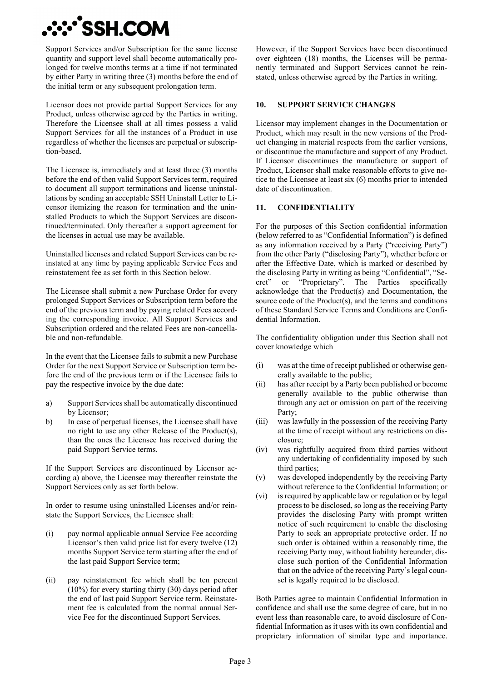

Support Services and/or Subscription for the same license quantity and support level shall become automatically prolonged for twelve months terms at a time if not terminated by either Party in writing three (3) months before the end of the initial term or any subsequent prolongation term.

Licensor does not provide partial Support Services for any Product, unless otherwise agreed by the Parties in writing. Therefore the Licensee shall at all times possess a valid Support Services for all the instances of a Product in use regardless of whether the licenses are perpetual or subscription-based.

The Licensee is, immediately and at least three (3) months before the end of then valid Support Services term, required to document all support terminations and license uninstallations by sending an acceptable SSH Uninstall Letter to Licensor itemizing the reason for termination and the uninstalled Products to which the Support Services are discontinued/terminated. Only thereafter a support agreement for the licenses in actual use may be available.

Uninstalled licenses and related Support Services can be reinstated at any time by paying applicable Service Fees and reinstatement fee as set forth in this Section below.

The Licensee shall submit a new Purchase Order for every prolonged Support Services or Subscription term before the end of the previous term and by paying related Fees according the corresponding invoice. All Support Services and Subscription ordered and the related Fees are non-cancellable and non-refundable.

In the event that the Licensee fails to submit a new Purchase Order for the next Support Service or Subscription term before the end of the previous term or if the Licensee fails to pay the respective invoice by the due date:

- a) Support Services shall be automatically discontinued by Licensor;
- b) In case of perpetual licenses, the Licensee shall have no right to use any other Release of the Product(s), than the ones the Licensee has received during the paid Support Service terms.

If the Support Services are discontinued by Licensor according a) above, the Licensee may thereafter reinstate the Support Services only as set forth below.

In order to resume using uninstalled Licenses and/or reinstate the Support Services, the Licensee shall:

- (i) pay normal applicable annual Service Fee according Licensor's then valid price list for every twelve (12) months Support Service term starting after the end of the last paid Support Service term;
- (ii) pay reinstatement fee which shall be ten percent (10%) for every starting thirty (30) days period after the end of last paid Support Service term. Reinstatement fee is calculated from the normal annual Service Fee for the discontinued Support Services.

However, if the Support Services have been discontinued over eighteen (18) months, the Licenses will be permanently terminated and Support Services cannot be reinstated, unless otherwise agreed by the Parties in writing.

#### **10. SUPPORT SERVICE CHANGES**

Licensor may implement changes in the Documentation or Product, which may result in the new versions of the Product changing in material respects from the earlier versions, or discontinue the manufacture and support of any Product. If Licensor discontinues the manufacture or support of Product, Licensor shall make reasonable efforts to give notice to the Licensee at least six (6) months prior to intended date of discontinuation.

#### **11. CONFIDENTIALITY**

For the purposes of this Section confidential information (below referred to as "Confidential Information") is defined as any information received by a Party ("receiving Party") from the other Party ("disclosing Party"), whether before or after the Effective Date, which is marked or described by the disclosing Party in writing as being "Confidential", "Secret" or "Proprietary". The Parties specifically acknowledge that the Product(s) and Documentation, the source code of the Product(s), and the terms and conditions of these Standard Service Terms and Conditions are Confidential Information.

The confidentiality obligation under this Section shall not cover knowledge which

- (i) was at the time of receipt published or otherwise generally available to the public;
- (ii) has after receipt by a Party been published or become generally available to the public otherwise than through any act or omission on part of the receiving Party;
- (iii) was lawfully in the possession of the receiving Party at the time of receipt without any restrictions on disclosure;
- (iv) was rightfully acquired from third parties without any undertaking of confidentiality imposed by such third parties;
- (v) was developed independently by the receiving Party without reference to the Confidential Information; or
- (vi) is required by applicable law or regulation or by legal process to be disclosed, so long as the receiving Party provides the disclosing Party with prompt written notice of such requirement to enable the disclosing Party to seek an appropriate protective order. If no such order is obtained within a reasonably time, the receiving Party may, without liability hereunder, disclose such portion of the Confidential Information that on the advice of the receiving Party's legal counsel is legally required to be disclosed.

Both Parties agree to maintain Confidential Information in confidence and shall use the same degree of care, but in no event less than reasonable care, to avoid disclosure of Confidential Information as it uses with its own confidential and proprietary information of similar type and importance.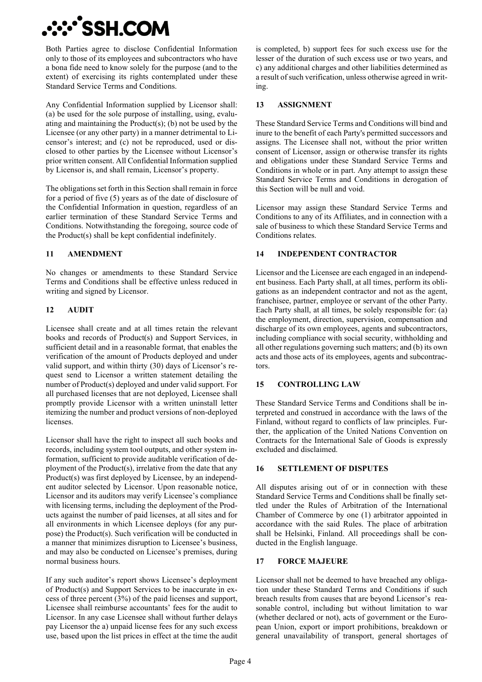# **:::`SSH.COM**

Both Parties agree to disclose Confidential Information only to those of its employees and subcontractors who have a bona fide need to know solely for the purpose (and to the extent) of exercising its rights contemplated under these Standard Service Terms and Conditions.

Any Confidential Information supplied by Licensor shall: (a) be used for the sole purpose of installing, using, evaluating and maintaining the Product(s); (b) not be used by the Licensee (or any other party) in a manner detrimental to Licensor's interest; and (c) not be reproduced, used or disclosed to other parties by the Licensee without Licensor's prior written consent. All Confidential Information supplied by Licensor is, and shall remain, Licensor's property.

The obligations set forth in this Section shall remain in force for a period of five (5) years as of the date of disclosure of the Confidential Information in question, regardless of an earlier termination of these Standard Service Terms and Conditions. Notwithstanding the foregoing, source code of the Product(s) shall be kept confidential indefinitely.

## **11 AMENDMENT**

No changes or amendments to these Standard Service Terms and Conditions shall be effective unless reduced in writing and signed by Licensor.

# **12 AUDIT**

Licensee shall create and at all times retain the relevant books and records of Product(s) and Support Services, in sufficient detail and in a reasonable format, that enables the verification of the amount of Products deployed and under valid support, and within thirty (30) days of Licensor's request send to Licensor a written statement detailing the number of Product(s) deployed and under valid support. For all purchased licenses that are not deployed, Licensee shall promptly provide Licensor with a written uninstall letter itemizing the number and product versions of non-deployed licenses.

Licensor shall have the right to inspect all such books and records, including system tool outputs, and other system information, sufficient to provide auditable verification of deployment of the Product(s), irrelative from the date that any Product(s) was first deployed by Licensee, by an independent auditor selected by Licensor. Upon reasonable notice, Licensor and its auditors may verify Licensee's compliance with licensing terms, including the deployment of the Products against the number of paid licenses, at all sites and for all environments in which Licensee deploys (for any purpose) the Product(s). Such verification will be conducted in a manner that minimizes disruption to Licensee's business, and may also be conducted on Licensee's premises, during normal business hours.

If any such auditor's report shows Licensee's deployment of Product(s) and Support Services to be inaccurate in excess of three percent (3%) of the paid licenses and support, Licensee shall reimburse accountants' fees for the audit to Licensor. In any case Licensee shall without further delays pay Licensor the a) unpaid license fees for any such excess use, based upon the list prices in effect at the time the audit is completed, b) support fees for such excess use for the lesser of the duration of such excess use or two years, and c) any additional charges and other liabilities determined as a result of such verification, unless otherwise agreed in writing.

## **13 ASSIGNMENT**

These Standard Service Terms and Conditions will bind and inure to the benefit of each Party's permitted successors and assigns. The Licensee shall not, without the prior written consent of Licensor, assign or otherwise transfer its rights and obligations under these Standard Service Terms and Conditions in whole or in part. Any attempt to assign these Standard Service Terms and Conditions in derogation of this Section will be null and void.

Licensor may assign these Standard Service Terms and Conditions to any of its Affiliates, and in connection with a sale of business to which these Standard Service Terms and Conditions relates.

# **14 INDEPENDENT CONTRACTOR**

Licensor and the Licensee are each engaged in an independent business. Each Party shall, at all times, perform its obligations as an independent contractor and not as the agent, franchisee, partner, employee or servant of the other Party. Each Party shall, at all times, be solely responsible for: (a) the employment, direction, supervision, compensation and discharge of its own employees, agents and subcontractors, including compliance with social security, withholding and all other regulations governing such matters; and (b) its own acts and those acts of its employees, agents and subcontractors.

# **15 CONTROLLING LAW**

These Standard Service Terms and Conditions shall be interpreted and construed in accordance with the laws of the Finland, without regard to conflicts of law principles. Further, the application of the United Nations Convention on Contracts for the International Sale of Goods is expressly excluded and disclaimed.

## **16 SETTLEMENT OF DISPUTES**

All disputes arising out of or in connection with these Standard Service Terms and Conditions shall be finally settled under the Rules of Arbitration of the International Chamber of Commerce by one (1) arbitrator appointed in accordance with the said Rules. The place of arbitration shall be Helsinki, Finland. All proceedings shall be conducted in the English language.

## **17 FORCE MAJEURE**

Licensor shall not be deemed to have breached any obligation under these Standard Terms and Conditions if such breach results from causes that are beyond Licensor's reasonable control, including but without limitation to war (whether declared or not), acts of government or the European Union, export or import prohibitions, breakdown or general unavailability of transport, general shortages of